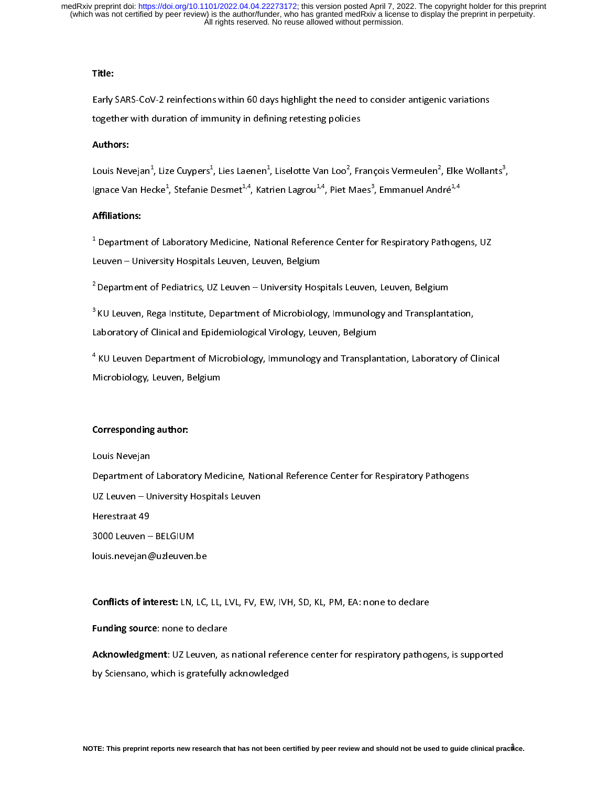## Title:

# Authors:

Early SARS-COV-2 reinfections with the need to consider the need to consider an indicate<br>together with duration of immunity in defining retesting policies<br>Authors:<br>Louis Nevejan<sup>1</sup>, Lize Cuypers<sup>1</sup>, Lies Laenen<sup>1</sup>, Liselo Authors:<br>Louis Nevejan<sup>1</sup>, Lize Cuypers<sup>1</sup>, Lies Laenen<sup>1</sup>, Liselotte Van Loo<sup>2</sup>, Fr<br>Ignace Van Hecke<sup>1</sup>, Stefanie Desmet<sup>1,4</sup>, Katrien Lagrou<sup>1,4</sup>, Piet Ma Louis Nevejan\*, Lize Cuypers\*, Lies Laenen\*, Liselotte Van Loo\*, François Vermeulen\*<br>Ignace Van Hecke<sup>1</sup>, Stefanie Desmet<sup>1,4</sup>, Katrien Lagrou<sup>1,4</sup>, Piet Maes<sup>3</sup>, Emmanuel Anc<br>**Affiliations:**<br><sup>1</sup> Department of Laboratory M , Elke Wollants<sup>3</sup><br>Iré<sup>1,4</sup><br>thogens, UZ  $\overline{a}$ 

# Affiliations:

Ignace Van Hecke\*, Stefanie Desmet\*\*\*, Katrien Lagrou\*\*\*, Piet Maes\*, Emmanuel André\*\*<br>Affiliations:<br><sup>1</sup> Department of Laboratory Medicine, National Reference Center for Respiratory Pathogo<br>Leuven – University Hospitals Le t, Department of Pediatrics, UZ Leuven, Leuven, Belgium<br>Department of Pediatrics, UZ Leuven – University Hospitals Leuven, Leuven, Belgium<br>KU Leuven, Rega Institute, Department of Microbiology, Immunology and Transplantation,

2<br>Pepartment of Pediatrics, UZ Leuven – University Hosp<sup>3</sup><br>KU Leuven, Rega Institute, Department of Microbiolog<br>Laboratory of Clinical and Epidemiological Virology, Leu <sup>2</sup> Department of Pediatrics, UZ Leuven – University Hospitals Leuven, Leuven, Belgium<br><sup>3</sup> KU Leuven, Rega Institute, Department of Microbiology, Immunology and Transplanta<br>Laboratory of Clinical and Epidemiological Virolo

<sup>3</sup> KU Leuven, Rega Institute, Department of Microbiology, Immunology and Transplantation,<br>Laboratory of Clinical and Epidemiological Virology, Leuven, Belgium<br><sup>4</sup> KU Leuven Department of Microbiology, Immunology and Trans Laboratory of Clinical and Epidemiology, Leuven, 2013, 2014<br><sup>4</sup> KU Leuven Department of Microbiology, Immunology and Transplar<br>Microbiology, Leuven, Belgium T, Microbiology, Leuven, Belgium<br>
Corresponding author:<br>
Corresponding author:

## Corresponding author:

Microbiology, Leuven, Belgium<br>Corresponding author:<br>Louis Nevejan י<br>|<br>| Louis Nevejan<br>Department of Laboratory Medicine, National Reference Center for Respiratory Pathogens<br>UZ Leuven – University Hospitals Leuven<br>Herestraat 49<br>3000 Leuven – BELGIUM Medicine, National Reference Center of Laboratory Medicine, National Reference Center for Applement of Laboratory Pathogens<br>1980 Supplement of Respiratory Pathogens<br>1980 Supplement For Respiratory Pathogens<br>1980 Supplement Herestraat 49<br>3000 Leuven – BELGIUM<br>Iouis.nevejan@uzleuven.be Herestaat 19<br>3000 Leuven –<br>Iouis nevejan@<br>Conflicts of int louis.nevejan@uzleuven.<br>**Conflicts of interest:** LN,

**Conflicts of interest:** LN, LC, LL, LVL, FV, EW, IVH, SD, KL, PM, EA: none to declare<br>Funding source: none to declare

 $\frac{1}{2}$ Conflicts of interest: LN, LC, LL, LVL, FV, LW, IVH, SD, KL, FMI, LA: none to declare<br>Funding source: none to declare<br>Acknowledgment: UZ Leuven, as national reference center for respiratory pathog<br>by Sciensano, which is gr Funding source: none to declare<br>Acknowledgment: UZ Leuven, as<br>by Sciensano, which is gratefully Acknowledgment: UZ Leuven, as national reference center for respiratory pathogens, is supported<br>by Sciensano, which is gratefully acknowledged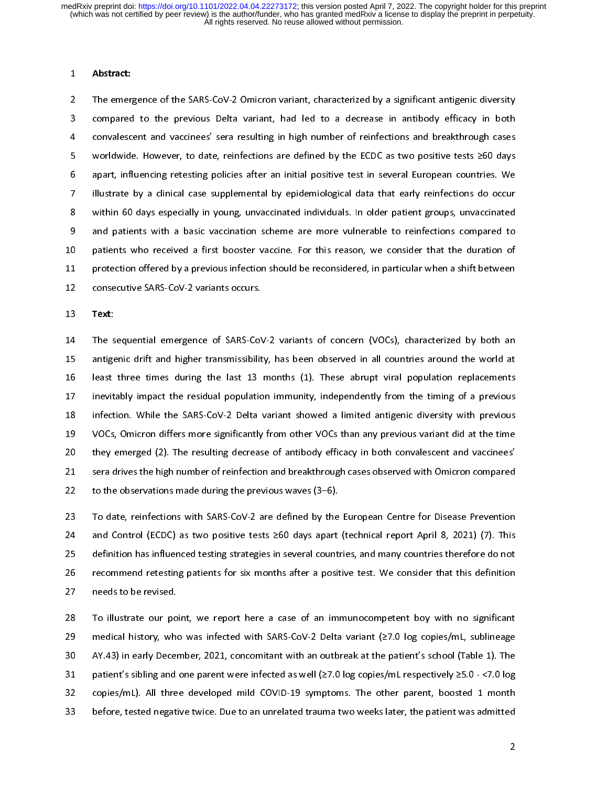1 Abstract:<br>2 The emerg<br>3 compared<br>4 convalesc:<br>5 worldwide 2 The emergence of the Economian Coverage of the SARS-Compared to the previous Delta variant, had led to a decrease in antibody efficacy in both<br>24 Convalescent and vaccinees' sera resulting in high number of reinfections 3 convalescent and vaccinees' sera resulting in high number of reinfections and breakthrough cases<br>3 worldwide. However, to date, reinfections are defined by the ECDC as two positive tests  $\geq 60$  days<br>3 apart, influencin 4 a convertive converted by the ECDC as two positive tests ≥60 days<br>4 a contribution and variable serves resulting policies after an initial positive test in several European countries. We<br>4 illustrate by a clinical case For the theorem, to date, reinfections are defined by the ECDC as two positive tests are defined by a dilustrate by a clinical case supplemental by epidemiological data that early reinfections do occurred within 60 days es Figures manufacturing politicial carry in the manufacture test in several European country in the distribution<br>18 application of the manufacturity relationship of the manufacture of test in several European countries. We<br>1 2 in the case of the case of the case of the minimals within 60 days especially in young, unvaccinated individuals. In older patient groups, unvaccinated<br>and patients with a basic vaccination scheme are more vulnerable to 8 and patients with a basic vaccination scheme are more vulnerable to reinfections compared to<br>8 patients who received a first booster vaccine. For this reason, we consider that the duration of<br>8 protection offered by a pr 9 patients who received a first booster vaccine. For this reason, we consider that the duration of<br>1 protection offered by a previous infection should be reconsidered, in particular when a shift between<br>2 consecutive SARS-11 protection offered by a previous infection should be reconsidered, in particular when a shift between<br>12 consecutive SARS-CoV-2 variants occurs.<br>13 Text:

12 consecutive SARS-CoV-2 variants occurs.<br>13 **Text**:<br>14 The sequential emergence of SARS-CoV-2 variants of concern (VOCs), characterized by both an<br>15 antigenic drift and higher transmissibility, has been observed in all 13 **Text**:<br>14 The sequential emergence of SARS-CoV<br>15 antigenic drift and higher transmissibilit 13 Text:<br>14 The s<br>15 antige<br>16 least<br>17 inevit: 15 antigenic drift and higher transmissibility, has been observed in all countries around the world at<br>16 least three times during the last 13 months (1). These abrupt viral population replacements<br>17 inevitably impact the 16 least three times during the last 13 months (1). These abrupt viral population replacements<br>17 inevitably impact the residual population immunity, independently from the timing of a previous<br>18 infection. While the SARS 17 inevitably impact the residual population immunity, independently from the timing of a previous<br>18 infection. While the SARS-CoV-2 Delta variant showed a limited antigenic diversity with previous<br>19 VOCs, Omicron differ 18 infection. While the SARS-CoV-2 Delta variant showed a limited antigenic diversity with previous<br>19 VOCs, Omicron differs more significantly from other VOCs than any previous variant did at the time<br>17 the time the time 19 VOCs, Omicron differs more significantly from other VOCs than any previous variant did at the time<br>
20 they emerged (2). The resulting decrease of antibody efficacy in both convalescent and vaccinees'<br>
21 sera drives th 19 they emerged (2). The resulting decrease of antibody efficacy in both convalescent and vaccinees<br>19 sera drives the high number of reinfection and breakthrough cases observed with Omicron compared<br>19 to the observations 21 sera drives the high number of reinfection and breakthrough cases observed with Omicron compared<br>22 to the observations made during the previous waves (3–6).<br>23 To date, reinfections with SARS-CoV-2 are defined by the E

22 to the observations made during the previous waves (3–6).<br>23 To date, reinfections with SARS-CoV-2 are defined by the European Centre for Disease Prevention<br>24 and Control (ECDC) as two positive tests ≥60 days apart (te 22 To date, reinfections with SARS-CoV-2 are defined by the<br>24 and Control (ECDC) as two positive tests  $\geq 60$  days apart<br>25 definition has influenced testing strategies in several count<br>26 recommend retesting patients f 24 and Control (ECDC) as two positive tests  $\geq 60$  days apart (technical report April 8, 2021) (7). This definition has influenced testing strategies in several countries, and many countries therefore do not recommend re 25 definition has influenced testing strategies in several countries, and many countries therefore do not<br>26 recommend retesting patients for six months after a positive test. We consider that this definition<br>27 ro illustr 26 recommend retesting patients for six months after a positive test. We consider that this definition<br>27 needs to be revised.<br>28 To illustrate our point, we report here a case of an immunocompetent boy with no significant

27 recommend retesting patients for six months after a positive test. We consider that this definition<br>28 To illustrate our point, we report here a case of an immunocompetent boy with no significant<br>29 medical history, who 28 To illustrate our po<br>29 medical history, whe<br>30 AY.43) in early Decer<br>31 patient's sibling and 29 medical history, who was infected with SARS-CoV-2 Delta variant (27.0 log copies/mL, sublineage<br>20 AY.43) in early December, 2021, concomitant with an outbreak at the patient's school (Table 1). The<br>21 patient's sibling 29 medical history, who was interested with the set of the set of the patient's school (Table 1). The patient's sibling and one parent were infected as well (≥7.0 log copies/mL respectively ≥5.0 - <7.0 log copies/mL). All 31 patient's sibling and one parent were infected as well ( $\geq$ 7.0 log copies/mL respectively  $\geq$ 5.0 - <7.0 log<br>32 copies/mL). All three developed mild COVID-19 symptoms. The other parent, boosted 1 month<br>33 before, te 132 copies/mL). All three developed mild COVID-19 symptoms. The other parent, boosted 1 month<br>33 before, tested negative twice. Due to an unrelated trauma two weeks later, the patient was admitted<br>2 32 copies/mL). All three developed mild COVID-19 symptoms. The other parent, boosted 1 month<br>33 before, tested negative twice. Due to an unrelated trauma two weeks later, the patient was admitted<br>2  $33$  before, tested negative twice. Due to an unrelated transition was patient was admitted to an unrelater, the patient was admitted to an unrelater, the patient was admitted to an unrelater, the patient was admitted to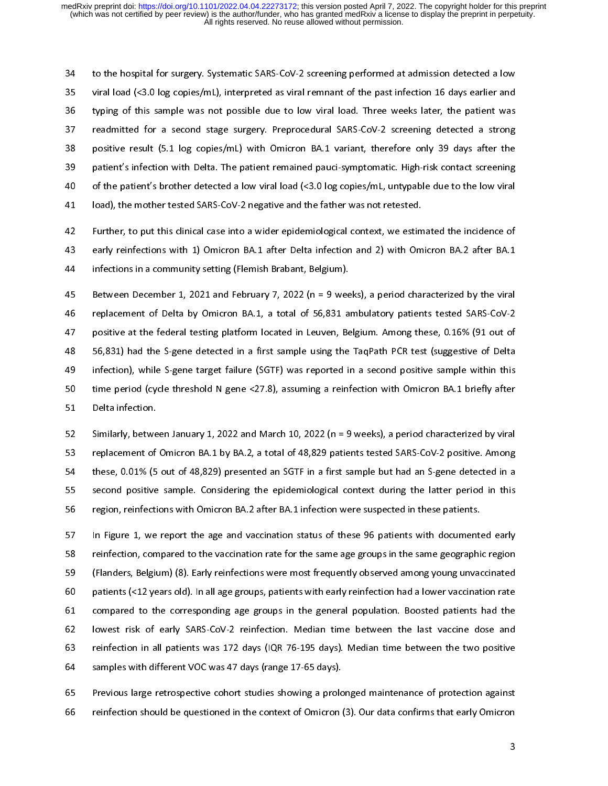34 133 to the hospital for surgery. Systematic State Cover 2 streaming performation at animation at example was not<br>34 typing of this sample was not possible due to low viral load. Three weeks later, the patient was<br>37 readmi 36 typing of this sample was not possible due to low viral load. Three weeks later, the patient was<br>37 readmitted for a second stage surgery. Preprocedural SARS-CoV-2 screening detected a strong<br>38 positive result (5.1 log 37 readmitted for a second stage surgery. Preprocedural SARS-CoV-2 screening detected a strong<br>38 positive result (5.1 log copies/mL) with Omicron BA.1 variant, therefore only 39 days after the<br>39 patient's infection with 39 of the patient's brother detected a low viral load (<3.0 log copies/mL, untypable due to the low viral<br>39 do the patient's brother detected a low viral load (<3.0 log copies/mL, untypable due to the low viral<br>39 do the 37 40 of the patient's brother detected a low viral load (<3.0 log copies/mL, untypable due to the low viral<br>41 | load), the mother tested SARS-CoV-2 negative and the father was not retested.

42 Further, to put this clinical case into a wider epidemiological context, we estimated the incidence of 10 of the patient's brother detected a low viral load (strong suppler) and patient and to the low viral load), the mother tested SARS-CoV-2 negative and the father was not retested.<br>
42 Further, to put this clinical case i Further, to put this clinical case into a wider epidemiological context, we estimed and provide and the father was non-2 and the father was not retended.<br>43 and retestions with 1) Omicron BA.1 after Delta infection and 2) early reinfections with 1) Omicron BA.1 after Delta infection and 2) with Omicron BA.2 after BA.1<br>
44 infections in a community setting (Flemish Brabant, Belgium).<br>
45 Between December 1, 2021 and February 7, 2022 (n = 9 w

infections in a community setting (Flemish Brabant, Belgium).<br>
44 Between December 1, 2021 and February 7, 2022 (n = 9 weeks), a period characterized by the viral<br>
46 Peplacement of Delta by Omicron BA.1, a total of 56,831 45 Between December 1, 2021 and February 7, 2022 (n = 9 wee<br>46 replacement of Delta by Omicron BA.1, a total of 56,831 a<br>47 positive at the federal testing platform located in Leuven, Be<br>48 56,831) had the S-gene detected Between December 1, 2021 and February 7, 2022 (n = 9 weeks), a period characterized by the viral<br>
46 replacement of Delta by Omicron BA.1, a total of 56,831 ambulatory patients tested SARS-CoV-2<br>
47 positive at the federal positive at the federal testing platform located in Leuven, Belgium. Among these, 0.16% (91 out of 56,831) had the S-gene detected in a first sample using the TaqPath PCR test (suggestive of Delta infection), while S-gene 48 56,831) had the S-gene detected in a first sample using the TaqPath PCR test (suggestive of Delta infection), while S-gene target failure (SGTF) was reported in a second positive sample within this time period (cycle th 148 infection), while S-gene target failure (SGTF) was reported in a second positive sample within this<br>
148 infection), while S-gene target failure (SGTF) was reported in a second positive sample within this<br>
150 interpre 49 time period (cycle threshold N gene <27.8), assuming a reinfection with Omicron BA.1 briefly after<br>
51 Delta infection.<br>
52 Similarly, between January 1, 2022 and March 10, 2022 (n = 9 weeks), a period characterized by

51 Delta infection.<br>51 Delta infection.<br>52 Similarly, between January 1, 2022 and March 10, 2022 (n = 9 weeks), a period characterized by viral<br>53 replacement of Omicron BA.1 by BA.2, a total of 48,829 patients tested SARS 52 Similarly, betwe<br>53 replacement of<br>54 these, 0.01% (5<br>55 second positive For the simularly, a statement of Omicron BA.1 by BA.2, a total of 48,829 patients tested SARS-CoV-2 positive. Among<br>54 these, 0.01% (5 out of 48,829) presented an SGTF in a first sample but had an S-gene detected in a<br>55 these, 0.01% (5 out of 48,829) presented an SGTF in a first sample but had an S-gene detected in a<br>second positive sample. Considering the epidemiological context during the latter period in this<br>region, reinfections with States of these sample. Considering the epidemiological context during the latter period in this<br>56 orgion, reinfections with Omicron BA.2 after BA.1 infection were suspected in these patients.<br>57 In Figure 1, we report th

Formulae of the superced in these patients.<br>
155 Second positive sample. The epidemiology of the epidemiology of the epidemiology of the epidemiology reinfection, compared to the vaccination rate for the same age groups in 57 In Figure 1, we report the age and vaccination status of these 96 patients with document<br>58 reinfection, compared to the vaccination rate for the same age groups in the same geographi<br>59 (Flanders, Belgium) (8). Early r Figure 1, we reinfection, compared to the vaccination rate for the same age groups in the same geographic region<br>
59 In Figure 1, Selgium (8). Early reinfections were most frequently observed among young unvaccinated<br>
50 p 59 (Flanders, Belgium) (8). Early reinfections were most frequently observed among young unvaccinated<br>50 patients (<12 years old). In all age groups, patients with early reinfection had a lower vaccination rate<br>51 compared patients (<12 years old). In all age groups, patients with early reinfection had a lower vaccination rate<br>
61 compared to the corresponding age groups in the general population. Boosted patients had the<br>
62 lowest risk of 61 compared to the corresponding age groups in the general population. Boosted patients had the lowest risk of early SARS-CoV-2 reinfection. Median time between the last vaccine dose and reinfection in all patients was 172 62 lowest risk of early SARS-CoV-2 reinfection. Median time between the last vaccine dose and<br>63 reinfection in all patients was 172 days (IQR 76-195 days). Median time between the two positive<br>64 samples with different VO Iowest risk of early SARS-CoV-2 reinfection. Median time between the last vaccine dose and<br>
reinfection in all patients was 172 days (IQR 76-195 days). Median time between the two positive<br>
samples with different VOC was 4

64 samples with different VOC was 47 days (range 17-65 days).<br>65 Previous large retrospective cohort studies showing a prolonged maintenance of protection against<br>66 reinfection should be questioned in the context of Omicr Framples with different VOC was 47 days (range 17-65 days).<br>65 Previous large retrospective cohort studies showing a prolo<br>66 reinfection should be questioned in the context of Omicron reinfection should be questioned in the context of Omicron (3). Our data confirms that early Omicron<br>3  $\frac{1}{3}$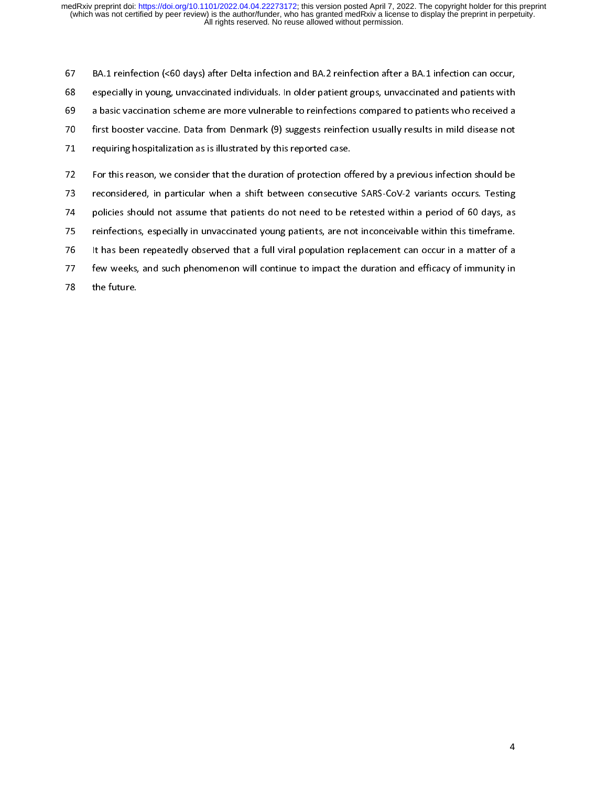especially in young, unvaccinated individuals. In older patient groups, unvaccinated and patients with<br>a basic vaccination scheme are more vulnerable to reinfections compared to patients who received a<br>first booster vaccin a basic vaccination scheme are more vulnerable to reinfections compared to patients who received a<br>
first booster vaccine. Data from Denmark (9) suggests reinfection usually results in mild disease not<br>
requiring hospitali first booster vaccine. Data from Denmark (9) suggests reinfection usually results in mild disease not<br>The more vulnerable to reinfection scheme are more vulnerable to requiring hospitalization as is illustrated by this rep requiring hospitalization as is illustrated by this reported case.<br>The first booster vaccine of the superior of protection of ferred by a previous infection should be<br>The seconsidered, in particular when a shift between co For this reason, we consider that the duration of protection of<br>173 reconsidered, in particular when a shift between consecutive<br>175 reinfections, especially in unvaccinated young patients, are not<br>175 reinfections, especi The considered, in particular when a shift between consecutive SARS-CoV-2 variants occurs. Testing<br>policies should not assume that patients do not need to be retested within a period of 60 days, as<br>reinfections, especially 14 policies should not assume that patients do not need to be retested within a period of 60 days, as<br>15 reinfections, especially in unvaccinated young patients, are not inconceivable within this timeframe.<br>16 It has been The policies showled not assume that patients do not need to be retested minimal a period of compy, and reinfections, especially in unvaccinated young patients, are not inconceivable within this timeframe.<br>The fust been re 17 It has been repeatedly observed that a full viral population replacement can occur in a matter of a<br>17 few weeks, and such phenomenon will continue to impact the duration and efficacy of immunity in<br>178 the future.

- 77 It few weeks, and such phenomenon will continue to impact the duration and efficacy of immunity in a matter of a that population replacement can the future.
- The feature, and such phenomenon will compute the duration and efficiency of immunity in the future.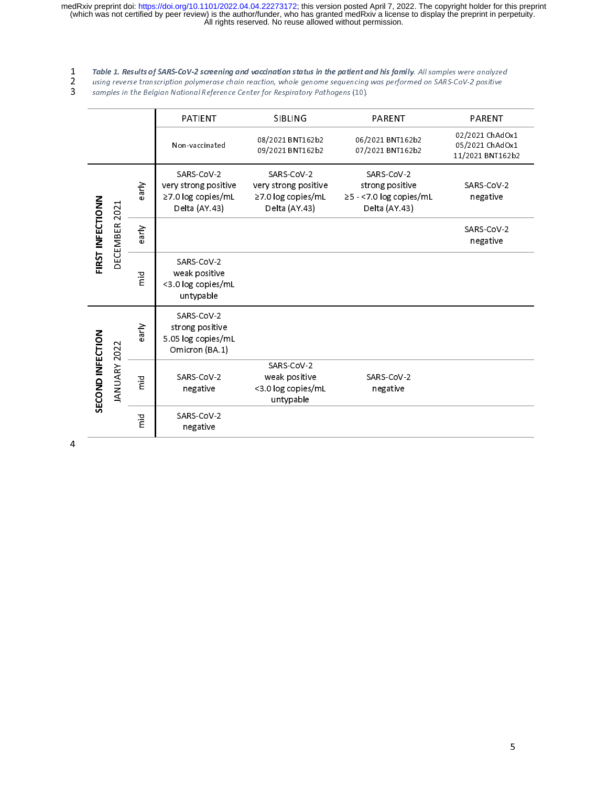1 Table 1. Results of SARS-CoV-2 screening and vaccination status in the patient and his family. All samples were analyzed<br>1 using reverse transcription polymerase chain reaction, whole genome sequencing was performed on S

|                                   |                | PATIENT                                                                   | <b>SIBLING</b>                                                            | <b>PARENT</b>                                                             | <b>PARENT</b>                                          |
|-----------------------------------|----------------|---------------------------------------------------------------------------|---------------------------------------------------------------------------|---------------------------------------------------------------------------|--------------------------------------------------------|
|                                   |                | Non-vaccinated                                                            | 08/2021 BNT162b2<br>09/2021 BNT162b2                                      | 06/2021 BNT162b2<br>07/2021 BNT162b2                                      | 02/2021 ChAdOx1<br>05/2021 ChAdOx1<br>11/2021 BNT162b2 |
| FIRST INFECTIONN<br>DECEMBER 2021 | early          | SARS-CoV-2<br>very strong positive<br>≥7.0 log copies/mL<br>Delta (AY.43) | SARS CoV-2<br>very strong positive<br>≥7.0 log copies/mL<br>Delta (AY.43) | SARS-CoV-2<br>strong positive<br>≥5 - <7.0 log copies/mL<br>Delta (AY.43) | SARS-CoV-2<br>negative                                 |
|                                   | early          |                                                                           |                                                                           |                                                                           | SARS-CoV-2<br>negative                                 |
|                                   | mid<br>T       | SARS CoV-2<br>weak positive<br><3.0 log copies/mL<br>untypable            |                                                                           |                                                                           |                                                        |
| SECOND INFECTION<br>JANUARY 2022  | early          | SARS-CoV-2<br>strong positive<br>5.05 log copies/mL<br>Omicron (BA.1)     |                                                                           |                                                                           |                                                        |
|                                   | $\overline{E}$ | SARS-CoV-2<br>negative                                                    | SARS CoV-2<br>weak positive<br><3.0 log copies/mL<br>untypable            | SARS-CoV-2<br>negative                                                    |                                                        |
|                                   | mid<br>m       | SARS-CoV-2<br>negative                                                    |                                                                           |                                                                           |                                                        |

 $\overline{4}$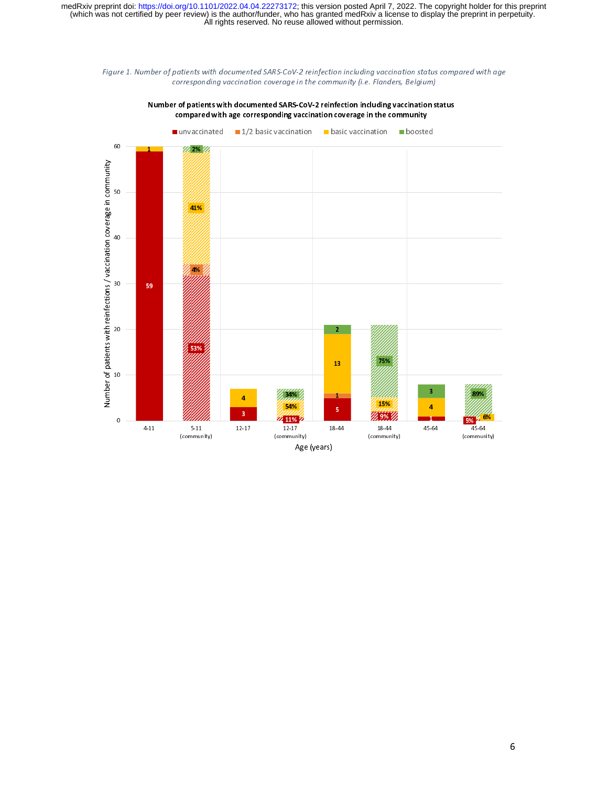



Number of patients with documented SARS-CoV-2 reinfection including vaccination status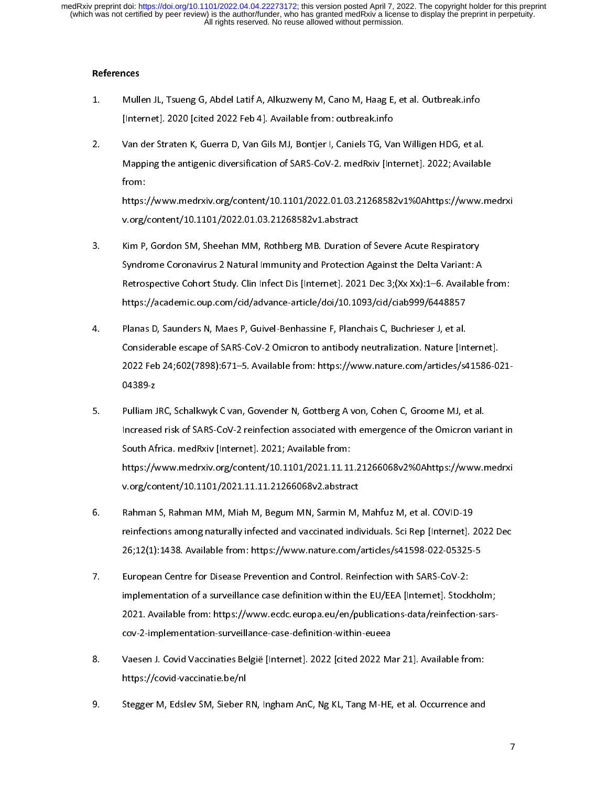## References

- 
- 1. Multernet]. 2020 [cited 2022 Feb 4]. Available from: outbreak.info<br>2. Van der Straten K, Guerra D, Van Gils MJ, Bontjer I, Caniels TG, Van Willigen HDG, et al.<br>Mapping the antigenic diversification of SARS-CoV-2. medRxi "<br>"Van der Straten K, Guerra D, Van Gils MJ, Bontjer I, Caniels TG, Va<br>"Mapping the antigenic diversification of SARS-CoV-2. medRxiv [Int<br>"<br>https://www.medrxiv.org/content/10.1101/2022.01.03.21268582 2. Van der Straten K, Guerra D, Van der KR, Guerra D, Van Hongen HDG, 2022; Availabl<br>2. Mapping the antigenic diversification of SARS-CoV-2. medRxiv [Internet]. 2022; Availabl<br>2. From:<br>https://www.medrxiv.org/content/10.11

Mapping the antigents an extramation of starts of SAR - Internation (Meshing) 2022, Manual of<br>from:<br>https://www.medrxiv.org/content/10.1101/2022.01.03.21268582v1%0Ahttps://www.m<br>v.org/content/10.1101/2022.01.03.21268582v1. https:<br>v.org/<br>Kim P,<br>Syndro

- https://www.medala.org/content/10.1101/2022.01.03.21268582v1.abstract<br>Kim P, Gordon SM, Sheehan MM, Rothberg MB. Duration of Severe Acute Respiratory<br>Syndrome Coronavirus 2 Natural Immunity and Protection Against the Delta v.org/content/10.1101/2022.01.03.21268582v1.abstract<br>Kim P, Gordon SM, Sheehan MM, Rothberg MB. Duration of Severe Acute Respiratory<br>Syndrome Coronavirus 2 Natural Immunity and Protection Against the Delta Variant: A<br>Retro 3. Syndrome Coronavirus 2 Natural Immunity and Protection Against the Delta Variant: A<br>3. Retrospective Cohort Study. Clin Infect Dis [Internet]. 2021 Dec 3;(Xx Xx):1–6. Available<br>3. https://academic.oup.com/cid/advance-ar Syndrome Coronavirus 2 Natural Immunity and Protection Against the Delta Comandon<br>Retrospective Cohort Study. Clin Infect Dis [Internet]. 2021 Dec 3;(Xx Xx):1–6. Available<br>https://academic.oup.com/cid/advance-article/doi/1
- Retrospective Constression, Canadian Constression (MD.1093/cid/ciab999/6448857<br>Planas D, Saunders N, Maes P, Guivel-Benhassine F, Planchais C, Buchrieser J, et al.<br>Considerable escape of SARS-CoV-2 Omicron to antibody neut https://academic.oup.com/cid/advance-article/doi/2012/2012/2012/2012/2012<br>Planas D, Saunders N, Maes P, Guivel-Benhassine F, Planchais C, Buchrieser J, et al.<br>Considerable escape of SARS-CoV-2 Omicron to antibody neutraliz 4. Planas D, Sammer M, Maes P, Sammer H, Planas D, Planas D, Bumicel-P, Bumicel-B, Bumicel-B, Bumicel-Benhassine Considerable escape of SARS-CoV-2 Omicron to antibody neutralization. Nature [Int.<br>2022 Feb 24;602(7898):671– Considerable from: https://www.nature.com/articles/s41586-0.<br>2022 Feb 24;602(7898):671–5. Available from: https://www.nature.com/articles/s41586-0.<br>201389-2<br>20 Pulliam JRC, Schalkwyk C van, Govender N, Gottberg A von, Cohe
- 2022 Feb 24;602(7898):771–2. Available from: https://www.nature.com/parace/yww.nature.com<br>204389-z<br>Pulliam JRC, Schalkwyk C van, Govender N, Gottberg A von, Cohen C, Groome MJ, et al.<br>Increased risk of SARS-CoV-2 reinfecti |<br>| Pulliam<br>| Increase<br>| South Af<br>| https://v Summarry, Summar, Pulliam J, Summarry, Summar, J, Summar, J, Summar, J, Summar, J, Summar, J, Summar, J, Summar<br>South Africa. medRxiv [Internet]. 2021; Available from:<br>https://www.medrxiv.org/content/10.1101/2021.11.11.212 Increased risk of Santa Cover-2 reinfection associated with emergence of the Omicron variant in<br>South Africa. medRxiv.org/content/10.1101/2021.11.11.21266068v2%0Ahttps://www.medrxi<br>v.org/content/10.1101/2021.11.11.21266068 South Africa. Marketter, 1999, 2021, 11.11<br>https://www.medrxiv.org/content/10.1101/2021.11.11<br>v.org/content/10.1101/2021.11.11.21266068v2.abstrad<br>Rahman S, Rahman MM, Miah M, Begum MN, Sarmin N<br>reinfections among naturally
- v.org/content/10.1101/2021.11.11.21266068v2.abstract<br>Rahman S, Rahman MM, Miah M, Begum MN, Sarmin M, Mahfuz M, et al. COVID-19<br>reinfections among naturally infected and vaccinated individuals. Sci Rep [Internet]. 2022 Dec Rahman S, Rahman MM, Miah M, Begum MN, Sarmin M, Mahfuz M, et al. COVID-19<br>reinfections among naturally infected and vaccinated individuals. Sci Rep [Internet].<br>26;12(1):1438. Available from: https://www.nature.com/article 6. Rahman S, Rahman MM, Miah M, Begum MN, Sarmin M, Mahfuz M, et al. COVID-19<br>reinfections among naturally infected and vaccinated individuals. Sci Rep [Internet]. 2022 I<br>26;12(1):1438. Available from: https://www.nature.c
- remarking maturally infected and vacuum comparisons and process 26;12(1):1438. Available from: https://www.nature.com/articles/s41598-022-05325-5<br>European Centre for Disease Prevention and Control. Reinfection with SARS-Co 26;22(2):238. Available from: https://www.nature.com/articles/s41598. CoV-2:<br>26;12(1):1438. Available from: https://www.ecdc.europa.eu/en/publications-data/reinfection-s<br>2021. Available from: https://www.ecdc.europa.eu/en/ 1992 implementation of a surveillance case definition within the EU/EEA [Internet]. Stock<br>2021. Available from: https://www.ecdc.europa.eu/en/publications-data/reinfectio<br>cov-2-implementation-surveillance-case-definition-w implementation of a surveillance-case-definition-within-eueea<br>implementation-surveillance-case-definition-within-eueea<br>Vaesen J. Covid Vaccinaties België [Internet]. 2022 [cited 2022 Mar 21]. Available from:<br>https://covid-
- cov-2-implementation-surveillance-case-definition-surveillance-cases<br>Vaesen J. Covid Vaccinaties België [Internet]. 2022 [cited 2022 Ma<br>https://covid-vaccinatie.be/nl<br>Stegger M, Edslev SM, Sieber RN, Ingham AnC, Ng KL, Tan 8. Vaccular Lacemanne Degreement Property 2022 [11ten 2022 Mar 2122 Mar 21]. An entity<br>https://covid-vaccinatie.be/nl<br>9. Stegger M, Edslev SM, Sieber RN, Ingham AnC, Ng KL, Tang M-HE, et al. Occurrence and
- 2021. Available from: https://www.ecdc.europa.eu/en/publications-data/reinfection-sarshttps://covid-vaccinations-ym<br>Stegger M, Edslev SM, Sieber F 9. Stegger M, Edslev SM, Sieber RN, Ingham AnC, Ng KL, Tang M-HE, et al. Occurrence and